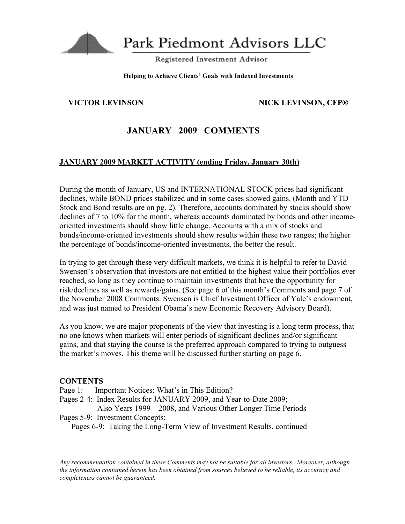

Park Piedmont Advisors LLC

Registered Investment Advisor

#### **Helping to Achieve Clients' Goals with Indexed Investments**

### **VICTOR LEVINSON NICK LEVINSON, CFP®**

# **JANUARY 2009 COMMENTS**

## **JANUARY 2009 MARKET ACTIVITY (ending Friday, January 30th)**

During the month of January, US and INTERNATIONAL STOCK prices had significant declines, while BOND prices stabilized and in some cases showed gains. (Month and YTD Stock and Bond results are on pg. 2). Therefore, accounts dominated by stocks should show declines of 7 to 10% for the month, whereas accounts dominated by bonds and other incomeoriented investments should show little change. Accounts with a mix of stocks and bonds/income-oriented investments should show results within these two ranges; the higher the percentage of bonds/income-oriented investments, the better the result.

In trying to get through these very difficult markets, we think it is helpful to refer to David Swensen's observation that investors are not entitled to the highest value their portfolios ever reached, so long as they continue to maintain investments that have the opportunity for risk/declines as well as rewards/gains. (See page 6 of this month's Comments and page 7 of the November 2008 Comments: Swensen is Chief Investment Officer of Yale's endowment, and was just named to President Obama's new Economic Recovery Advisory Board).

As you know, we are major proponents of the view that investing is a long term process, that no one knows when markets will enter periods of significant declines and/or significant gains, and that staying the course is the preferred approach compared to trying to outguess the market's moves. This theme will be discussed further starting on page 6.

#### **CONTENTS**

- Page 1: Important Notices: What's in This Edition?
- Pages 2-4: Index Results for JANUARY 2009, and Year-to-Date 2009;
- Also Years 1999 2008, and Various Other Longer Time Periods Pages 5-9: Investment Concepts:

Pages 6-9: Taking the Long-Term View of Investment Results, continued

*Any recommendation contained in these Comments may not be suitable for all investors. Moreover, although the information contained herein has been obtained from sources believed to be reliable, its accuracy and completeness cannot be guaranteed.*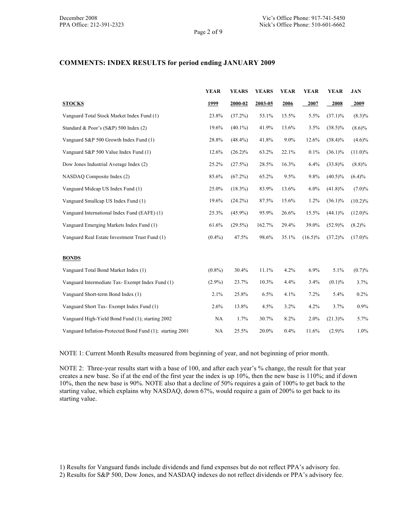Page 2 of 9

#### **COMMENTS: INDEX RESULTS for period ending JANUARY 2009**

|                                                           | <b>YEAR</b> | <b>YEARS</b> | <b>YEARS</b> | <b>YEAR</b> | <b>YEAR</b> | <b>YEAR</b> | <b>JAN</b> |
|-----------------------------------------------------------|-------------|--------------|--------------|-------------|-------------|-------------|------------|
| <b>STOCKS</b>                                             | 1999        | 2000-02      | 2003-05      | 2006        | 2007        | 2008        | 2009       |
| Vanguard Total Stock Market Index Fund (1)                | 23.8%       | (37.2%)      | 53.1%        | 15.5%       | 5.5%        | $(37.1)\%$  | $(8.3)\%$  |
| Standard & Poor's (S&P) 500 Index (2)                     | 19.6%       | $(40.1\%)$   | 41.9%        | 13.6%       | 3.5%        | $(38.5)\%$  | $(8.6)\%$  |
| Vanguard S&P 500 Growth Index Fund (1)                    | 28.8%       | $(48.4\%)$   | 41.8%        | 9.0%        | 12.6%       | $(38.4)\%$  | $(4.6)\%$  |
| Vanguard S&P 500 Value Index Fund (1)                     | 12.6%       | $(26.2)\%$   | 63.2%        | 22.1%       | 0.1%        | $(36.1)\%$  | $(11.0)\%$ |
| Dow Jones Industrial Average Index (2)                    | 25.2%       | (27.5%)      | 28.5%        | 16.3%       | 6.4%        | $(33.8)\%$  | $(8.8)\%$  |
| NASDAQ Composite Index (2)                                | 85.6%       | $(67.2\%)$   | 65.2%        | 9.5%        | 9.8%        | $(40.5)\%$  | $(6.4)\%$  |
| Vanguard Midcap US Index Fund (1)                         | 25.0%       | $(18.3\%)$   | 83.9%        | 13.6%       | 6.0%        | $(41.8)\%$  | $(7.0)\%$  |
| Vanguard Smallcap US Index Fund (1)                       | 19.6%       | $(24.2\%)$   | 87.5%        | 15.6%       | 1.2%        | $(36.1)\%$  | $(10.2)\%$ |
| Vanguard International Index Fund (EAFE) (1)              | 25.3%       | $(45.9\%)$   | 95.9%        | 26.6%       | 15.5%       | $(44.1)\%$  | $(12.0)\%$ |
| Vanguard Emerging Markets Index Fund (1)                  | 61.6%       | $(29.5\%)$   | 162.7%       | 29.4%       | 39.0%       | $(52.9)\%$  | $(8.2)\%$  |
| Vanguard Real Estate Investment Trust Fund (1)            | $(0.4\%)$   | 47.5%        | 98.6%        | 35.1%       | $(16.5)\%$  | $(37.2)\%$  | $(17.0)\%$ |
|                                                           |             |              |              |             |             |             |            |
| <b>BONDS</b>                                              |             |              |              |             |             |             |            |
| Vanguard Total Bond Market Index (1)                      | $(0.8\%)$   | 30.4%        | 11.1%        | 4.2%        | 6.9%        | 5.1%        | (0.7)%     |
| Vanguard Intermediate Tax- Exempt Index Fund (1)          | $(2.9\%)$   | 23.7%        | 10.3%        | 4.4%        | 3.4%        | (0.1)%      | 3.7%       |
| Vanguard Short-term Bond Index (1)                        | 2.1%        | 25.8%        | 6.5%         | 4.1%        | 7.2%        | 5.4%        | 0.2%       |
| Vanguard Short Tax-Exempt Index Fund (1)                  | 2.6%        | 13.8%        | 4.5%         | 3.2%        | 4.2%        | 3.7%        | 0.9%       |
| Vanguard High-Yield Bond Fund (1); starting 2002          | NA          | 1.7%         | 30.7%        | 8.2%        | 2.0%        | $(21.3)\%$  | 5.7%       |
| Vanguard Inflation-Protected Bond Fund (1); starting 2001 | NA          | 25.5%        | 20.0%        | 0.4%        | 11.6%       | $(2.9)\%$   | 1.0%       |

NOTE 1: Current Month Results measured from beginning of year, and not beginning of prior month.

NOTE 2: Three-year results start with a base of 100, and after each year's % change, the result for that year creates a new base. So if at the end of the first year the index is up 10%, then the new base is 110%; and if down 10%, then the new base is 90%. NOTE also that a decline of 50% requires a gain of 100% to get back to the starting value, which explains why NASDAQ, down 67%, would require a gain of 200% to get back to its starting value.

<sup>1)</sup> Results for Vanguard funds include dividends and fund expenses but do not reflect PPA's advisory fee.

<sup>2)</sup> Results for S&P 500, Dow Jones, and NASDAQ indexes do not reflect dividends or PPA's advisory fee.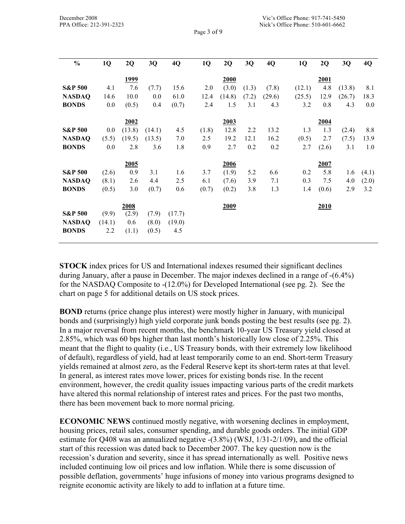| $\frac{0}{0}$      | 1Q     | 2Q          | 3Q     | 4Q     | 1Q    | 2Q     | 3Q    | 4Q     | 1Q     | 2Q    | 3Q     | 4Q    |
|--------------------|--------|-------------|--------|--------|-------|--------|-------|--------|--------|-------|--------|-------|
|                    |        | <u>1999</u> |        |        |       | 2000   |       |        |        | 2001  |        |       |
| <b>S&amp;P 500</b> | 4.1    | 7.6         | (7.7)  | 15.6   | 2.0   | (3.0)  | (1.3) | (7.8)  | (12.1) | 4.8   | (13.8) | 8.1   |
| <b>NASDAQ</b>      | 14.6   | 10.0        | 0.0    | 61.0   | 12.4  | (14.8) | (7.2) | (29.6) | (25.5) | 12.9  | (26.7) | 18.3  |
| <b>BONDS</b>       | 0.0    | (0.5)       | 0.4    | (0.7)  | 2.4   | 1.5    | 3.1   | 4.3    | 3.2    | 0.8   | 4.3    | 0.0   |
|                    |        |             |        |        |       |        |       |        |        |       |        |       |
|                    |        | 2002        |        |        |       | 2003   |       |        |        | 2004  |        |       |
| <b>S&amp;P 500</b> | 0.0    | (13.8)      | (14.1) | 4.5    | (1.8) | 12.8   | 2.2   | 13.2   | 1.3    | 1.3   | (2.4)  | 8.8   |
| <b>NASDAQ</b>      | (5.5)  | (19.5)      | (13.5) | 7.0    | 2.5   | 19.2   | 12.1  | 16.2   | (0.5)  | 2.7   | (7.5)  | 13.9  |
| <b>BONDS</b>       | 0.0    | 2.8         | 3.6    | 1.8    | 0.9   | 2.7    | 0.2   | 0.2    | 2.7    | (2.6) | 3.1    | 1.0   |
|                    |        | 2005        |        |        |       | 2006   |       |        |        | 2007  |        |       |
| <b>S&amp;P 500</b> | (2.6)  | 0.9         | 3.1    | 1.6    | 3.7   | (1.9)  | 5.2   | 6.6    | 0.2    | 5.8   | 1.6    | (4.1) |
| <b>NASDAQ</b>      | (8.1)  | 2.6         | 4.4    | 2.5    | 6.1   | (7.6)  | 3.9   | 7.1    | 0.3    | 7.5   | 4.0    | (2.0) |
| <b>BONDS</b>       | (0.5)  | 3.0         | (0.7)  | 0.6    | (0.7) | (0.2)  | 3.8   | 1.3    | 1.4    | (0.6) | 2.9    | 3.2   |
|                    |        |             |        |        |       |        |       |        |        |       |        |       |
|                    |        | 2008        |        |        |       | 2009   |       |        |        | 2010  |        |       |
| <b>S&amp;P 500</b> | (9.9)  | (2.9)       | (7.9)  | (17.7) |       |        |       |        |        |       |        |       |
| <b>NASDAQ</b>      | (14.1) | 0.6         | (8.0)  | (19.0) |       |        |       |        |        |       |        |       |
| <b>BONDS</b>       | 2.2    | (1.1)       | (0.5)  | 4.5    |       |        |       |        |        |       |        |       |
|                    |        |             |        |        |       |        |       |        |        |       |        |       |

**STOCK** index prices for US and International indexes resumed their significant declines during January, after a pause in December. The major indexes declined in a range of -(6.4%) for the NASDAQ Composite to -(12.0%) for Developed International (see pg. 2). See the chart on page 5 for additional details on US stock prices.

**BOND** returns (price change plus interest) were mostly higher in January, with municipal bonds and (surprisingly) high yield corporate junk bonds posting the best results (see pg. 2). In a major reversal from recent months, the benchmark 10-year US Treasury yield closed at 2.85%, which was 60 bps higher than last month's historically low close of 2.25%. This meant that the flight to quality (i.e., US Treasury bonds, with their extremely low likelihood of default), regardless of yield, had at least temporarily come to an end. Short-term Treasury yields remained at almost zero, as the Federal Reserve kept its short-term rates at that level. In general, as interest rates move lower, prices for existing bonds rise. In the recent environment, however, the credit quality issues impacting various parts of the credit markets have altered this normal relationship of interest rates and prices. For the past two months, there has been movement back to more normal pricing.

**ECONOMIC NEWS** continued mostly negative, with worsening declines in employment, housing prices, retail sales, consumer spending, and durable goods orders. The initial GDP estimate for Q408 was an annualized negative -(3.8%) (WSJ, 1/31-2/1/09), and the official start of this recession was dated back to December 2007. The key question now is the recession's duration and severity, since it has spread internationally as well. Positive news included continuing low oil prices and low inflation. While there is some discussion of possible deflation, governments' huge infusions of money into various programs designed to reignite economic activity are likely to add to inflation at a future time.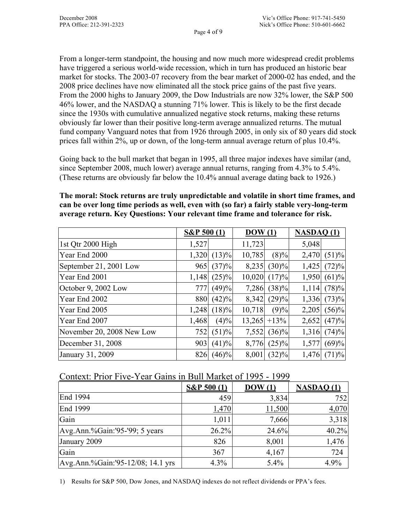From a longer-term standpoint, the housing and now much more widespread credit problems have triggered a serious world-wide recession, which in turn has produced an historic bear market for stocks. The 2003-07 recovery from the bear market of 2000-02 has ended, and the 2008 price declines have now eliminated all the stock price gains of the past five years. From the 2000 highs to January 2009, the Dow Industrials are now 32% lower, the S&P 500 46% lower, and the NASDAQ a stunning 71% lower. This is likely to be the first decade since the 1930s with cumulative annualized negative stock returns, making these returns obviously far lower than their positive long-term average annualized returns. The mutual fund company Vanguard notes that from 1926 through 2005, in only six of 80 years did stock prices fall within 2%, up or down, of the long-term annual average return of plus 10.4%.

Going back to the bull market that began in 1995, all three major indexes have similar (and, since September 2008, much lower) average annual returns, ranging from 4.3% to 5.4%. (These returns are obviously far below the 10.4% annual average dating back to 1926.)

**The moral: Stock returns are truly unpredictable and volatile in short time frames, and can be over long time periods as well, even with (so far) a fairly stable very-long-term average return. Key Questions: Your relevant time frame and tolerance for risk.** 

|                           | S&P 500(1) |               | $\overline{DOW(1)}$ |                | <b>NASDAQ(1)</b> |          |
|---------------------------|------------|---------------|---------------------|----------------|------------------|----------|
| 1st Qtr 2000 High         | 1,527      |               | 11,723              |                | 5,048            |          |
| Year End 2000             |            | $1,320$ (13)% | 10,785              | $(8)\%$        | 2,470            | (51)%    |
| September 21, 2001 Low    |            | $965$ (37)%   | 8,235               | $(30)\%$       | 1,425            | (72)%    |
| Year End 2001             |            | $1,148$ (25)% | 10,020              | (17)%          | 1,950            | (61)%    |
| October 9, 2002 Low       |            | $777$ (49)%   | 7,286               | $(38)\%$       | 1,114            | (78)%    |
| Year End 2002             | 880        | (42)%         | 8,342               | (29)%          | 1,336            | (73)%    |
| Year End 2005             | 1,248      | $(18)\%$      | 10,718              | (9)%           | 2,205            | $(56)\%$ |
| Year End 2007             | 1,468      | $(4)\%$       |                     | $13,265$ + 13% | 2,652            | (47)%    |
| November 20, 2008 New Low | 752        | (51)%         | 7,552               | $(36)\%$       | 1,316            | (74)%    |
| December 31, 2008         | 903        | (41)%         | 8,776               | $(25)\%$       | 1,577            | (69)%    |
| January 31, 2009          | 826        | $(46)\%$      | 8,001               | $(32)\%$       | 1,476            | (71)%    |

## Context: Prior Five-Year Gains in Bull Market of 1995 - 1999

|                                   | $S\&P 500(1)$ | $\bf{DOW}$ $(1)$ | <b>NASDAQ (1)</b> |
|-----------------------------------|---------------|------------------|-------------------|
| End 1994                          | 459           | 3,834            | 752               |
| End 1999                          | 1,470         | 11,500           | 4,070             |
| Gain                              | 1,011         | 7,666            | 3,318             |
| Avg.Ann.%Gain:'95-'99; 5 years    | 26.2%         | 24.6%            | 40.2%             |
| January 2009                      | 826           | 8,001            | 1,476             |
| Gain                              | 367           | 4,167            | 724               |
| Avg.Ann.%Gain:'95-12/08; 14.1 yrs | $4.3\%$       | 5.4%             | 4.9%              |

1) Results for S&P 500, Dow Jones, and NASDAQ indexes do not reflect dividends or PPA's fees.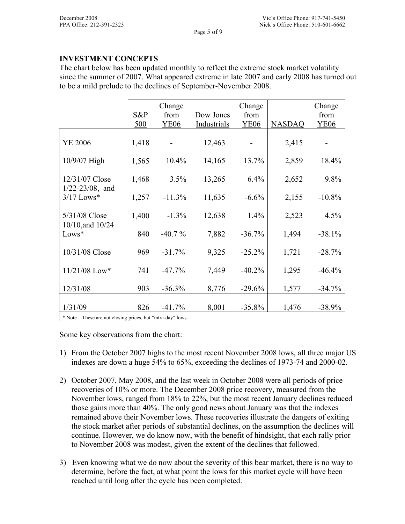## **INVESTMENT CONCEPTS**

The chart below has been updated monthly to reflect the extreme stock market volatility since the summer of 2007. What appeared extreme in late 2007 and early 2008 has turned out to be a mild prelude to the declines of September-November 2008.

|                                                           |       | Change      |             | Change      |               | Change      |  |  |  |
|-----------------------------------------------------------|-------|-------------|-------------|-------------|---------------|-------------|--|--|--|
|                                                           | S&P   | from        | Dow Jones   | from        |               | from        |  |  |  |
|                                                           | 500   | <b>YE06</b> | Industrials | <b>YE06</b> | <b>NASDAQ</b> | <b>YE06</b> |  |  |  |
| <b>YE 2006</b>                                            | 1,418 |             | 12,463      |             | 2,415         |             |  |  |  |
| 10/9/07 High                                              | 1,565 | 10.4%       | 14,165      | 13.7%       | 2,859         | 18.4%       |  |  |  |
| 12/31/07 Close<br>$1/22 - 23/08$ , and                    | 1,468 | 3.5%        | 13,265      | 6.4%        | 2,652         | 9.8%        |  |  |  |
| $3/17$ Lows*                                              | 1,257 | $-11.3%$    | 11,635      | $-6.6%$     | 2,155         | $-10.8%$    |  |  |  |
| 5/31/08 Close                                             | 1,400 | $-1.3%$     | 12,638      | 1.4%        | 2,523         | 4.5%        |  |  |  |
| 10/10, and 10/24<br>Lows*                                 | 840   | $-40.7\%$   | 7,882       | $-36.7%$    | 1,494         | $-38.1%$    |  |  |  |
| 10/31/08 Close                                            | 969   | $-31.7%$    | 9,325       | $-25.2%$    | 1,721         | $-28.7%$    |  |  |  |
| $11/21/08$ Low*                                           | 741   | $-47.7%$    | 7,449       | $-40.2%$    | 1,295         | $-46.4%$    |  |  |  |
| 12/31/08                                                  | 903   | $-36.3%$    | 8,776       | $-29.6%$    | 1,577         | $-34.7%$    |  |  |  |
| 1/31/09                                                   | 826   | $-41.7%$    | 8,001       | $-35.8%$    | 1,476         | $-38.9%$    |  |  |  |
| * Note These are not clearing misses but "intro day" laws |       |             |             |             |               |             |  |  |  |

\* Note – These are not closing prices, but "intra-day" lows

Some key observations from the chart:

- 1) From the October 2007 highs to the most recent November 2008 lows, all three major US indexes are down a huge 54% to 65%, exceeding the declines of 1973-74 and 2000-02.
- 2) October 2007, May 2008, and the last week in October 2008 were all periods of price recoveries of 10% or more. The December 2008 price recovery, measured from the November lows, ranged from 18% to 22%, but the most recent January declines reduced those gains more than 40%. The only good news about January was that the indexes remained above their November lows. These recoveries illustrate the dangers of exiting the stock market after periods of substantial declines, on the assumption the declines will continue. However, we do know now, with the benefit of hindsight, that each rally prior to November 2008 was modest, given the extent of the declines that followed.
- 3) Even knowing what we do now about the severity of this bear market, there is no way to determine, before the fact, at what point the lows for this market cycle will have been reached until long after the cycle has been completed.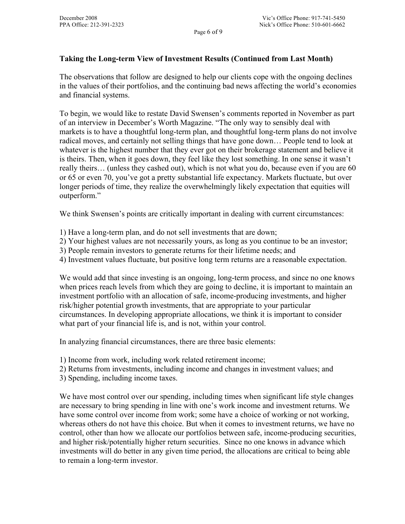## **Taking the Long-term View of Investment Results (Continued from Last Month)**

The observations that follow are designed to help our clients cope with the ongoing declines in the values of their portfolios, and the continuing bad news affecting the world's economies and financial systems.

To begin, we would like to restate David Swensen's comments reported in November as part of an interview in December's Worth Magazine. "The only way to sensibly deal with markets is to have a thoughtful long-term plan, and thoughtful long-term plans do not involve radical moves, and certainly not selling things that have gone down… People tend to look at whatever is the highest number that they ever got on their brokerage statement and believe it is theirs. Then, when it goes down, they feel like they lost something. In one sense it wasn't really theirs… (unless they cashed out), which is not what you do, because even if you are 60 or 65 or even 70, you've got a pretty substantial life expectancy. Markets fluctuate, but over longer periods of time, they realize the overwhelmingly likely expectation that equities will outperform."

We think Swensen's points are critically important in dealing with current circumstances:

- 1) Have a long-term plan, and do not sell investments that are down;
- 2) Your highest values are not necessarily yours, as long as you continue to be an investor;
- 3) People remain investors to generate returns for their lifetime needs; and
- 4) Investment values fluctuate, but positive long term returns are a reasonable expectation.

We would add that since investing is an ongoing, long-term process, and since no one knows when prices reach levels from which they are going to decline, it is important to maintain an investment portfolio with an allocation of safe, income-producing investments, and higher risk/higher potential growth investments, that are appropriate to your particular circumstances. In developing appropriate allocations, we think it is important to consider what part of your financial life is, and is not, within your control.

In analyzing financial circumstances, there are three basic elements:

1) Income from work, including work related retirement income;

- 2) Returns from investments, including income and changes in investment values; and
- 3) Spending, including income taxes.

We have most control over our spending, including times when significant life style changes are necessary to bring spending in line with one's work income and investment returns. We have some control over income from work; some have a choice of working or not working, whereas others do not have this choice. But when it comes to investment returns, we have no control, other than how we allocate our portfolios between safe, income-producing securities, and higher risk/potentially higher return securities. Since no one knows in advance which investments will do better in any given time period, the allocations are critical to being able to remain a long-term investor.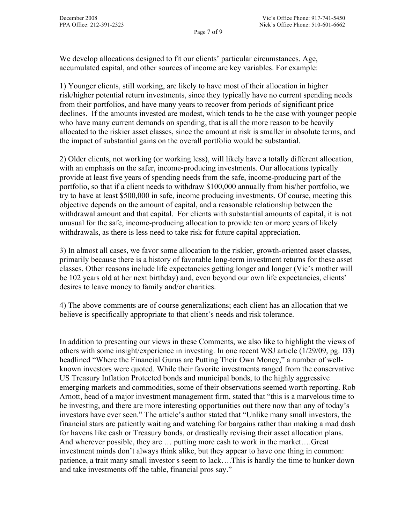We develop allocations designed to fit our clients' particular circumstances. Age, accumulated capital, and other sources of income are key variables. For example:

1) Younger clients, still working, are likely to have most of their allocation in higher risk/higher potential return investments, since they typically have no current spending needs from their portfolios, and have many years to recover from periods of significant price declines. If the amounts invested are modest, which tends to be the case with younger people who have many current demands on spending, that is all the more reason to be heavily allocated to the riskier asset classes, since the amount at risk is smaller in absolute terms, and the impact of substantial gains on the overall portfolio would be substantial.

Page 7 of 9

2) Older clients, not working (or working less), will likely have a totally different allocation, with an emphasis on the safer, income-producing investments. Our allocations typically provide at least five years of spending needs from the safe, income-producing part of the portfolio, so that if a client needs to withdraw \$100,000 annually from his/her portfolio, we try to have at least \$500,000 in safe, income producing investments. Of course, meeting this objective depends on the amount of capital, and a reasonable relationship between the withdrawal amount and that capital. For clients with substantial amounts of capital, it is not unusual for the safe, income-producing allocation to provide ten or more years of likely withdrawals, as there is less need to take risk for future capital appreciation.

3) In almost all cases, we favor some allocation to the riskier, growth-oriented asset classes, primarily because there is a history of favorable long-term investment returns for these asset classes. Other reasons include life expectancies getting longer and longer (Vic's mother will be 102 years old at her next birthday) and, even beyond our own life expectancies, clients' desires to leave money to family and/or charities.

4) The above comments are of course generalizations; each client has an allocation that we believe is specifically appropriate to that client's needs and risk tolerance.

In addition to presenting our views in these Comments, we also like to highlight the views of others with some insight/experience in investing. In one recent WSJ article (1/29/09, pg. D3) headlined "Where the Financial Gurus are Putting Their Own Money," a number of wellknown investors were quoted. While their favorite investments ranged from the conservative US Treasury Inflation Protected bonds and municipal bonds, to the highly aggressive emerging markets and commodities, some of their observations seemed worth reporting. Rob Arnott, head of a major investment management firm, stated that "this is a marvelous time to be investing, and there are more interesting opportunities out there now than any of today's investors have ever seen." The article's author stated that "Unlike many small investors, the financial stars are patiently waiting and watching for bargains rather than making a mad dash for havens like cash or Treasury bonds, or drastically revising their asset allocation plans. And wherever possible, they are … putting more cash to work in the market….Great investment minds don't always think alike, but they appear to have one thing in common: patience, a trait many small investor s seem to lack….This is hardly the time to hunker down and take investments off the table, financial pros say."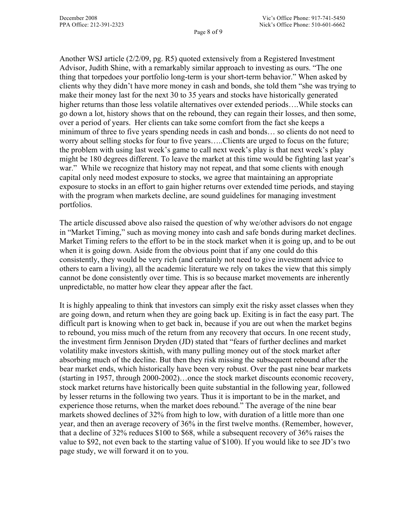Another WSJ article (2/2/09, pg. R5) quoted extensively from a Registered Investment Advisor, Judith Shine, with a remarkably similar approach to investing as ours. "The one thing that torpedoes your portfolio long-term is your short-term behavior." When asked by clients why they didn't have more money in cash and bonds, she told them "she was trying to make their money last for the next 30 to 35 years and stocks have historically generated higher returns than those less volatile alternatives over extended periods….While stocks can go down a lot, history shows that on the rebound, they can regain their losses, and then some, over a period of years. Her clients can take some comfort from the fact she keeps a minimum of three to five years spending needs in cash and bonds… so clients do not need to worry about selling stocks for four to five years…..Clients are urged to focus on the future; the problem with using last week's game to call next week's play is that next week's play might be 180 degrees different. To leave the market at this time would be fighting last year's war." While we recognize that history may not repeat, and that some clients with enough capital only need modest exposure to stocks, we agree that maintaining an appropriate exposure to stocks in an effort to gain higher returns over extended time periods, and staying with the program when markets decline, are sound guidelines for managing investment portfolios.

The article discussed above also raised the question of why we/other advisors do not engage in "Market Timing," such as moving money into cash and safe bonds during market declines. Market Timing refers to the effort to be in the stock market when it is going up, and to be out when it is going down. Aside from the obvious point that if any one could do this consistently, they would be very rich (and certainly not need to give investment advice to others to earn a living), all the academic literature we rely on takes the view that this simply cannot be done consistently over time. This is so because market movements are inherently unpredictable, no matter how clear they appear after the fact.

It is highly appealing to think that investors can simply exit the risky asset classes when they are going down, and return when they are going back up. Exiting is in fact the easy part. The difficult part is knowing when to get back in, because if you are out when the market begins to rebound, you miss much of the return from any recovery that occurs. In one recent study, the investment firm Jennison Dryden (JD) stated that "fears of further declines and market volatility make investors skittish, with many pulling money out of the stock market after absorbing much of the decline. But then they risk missing the subsequent rebound after the bear market ends, which historically have been very robust. Over the past nine bear markets (starting in 1957, through 2000-2002)…once the stock market discounts economic recovery, stock market returns have historically been quite substantial in the following year, followed by lesser returns in the following two years. Thus it is important to be in the market, and experience those returns, when the market does rebound." The average of the nine bear markets showed declines of 32% from high to low, with duration of a little more than one year, and then an average recovery of 36% in the first twelve months. (Remember, however, that a decline of 32% reduces \$100 to \$68, while a subsequent recovery of 36% raises the value to \$92, not even back to the starting value of \$100). If you would like to see JD's two page study, we will forward it on to you.